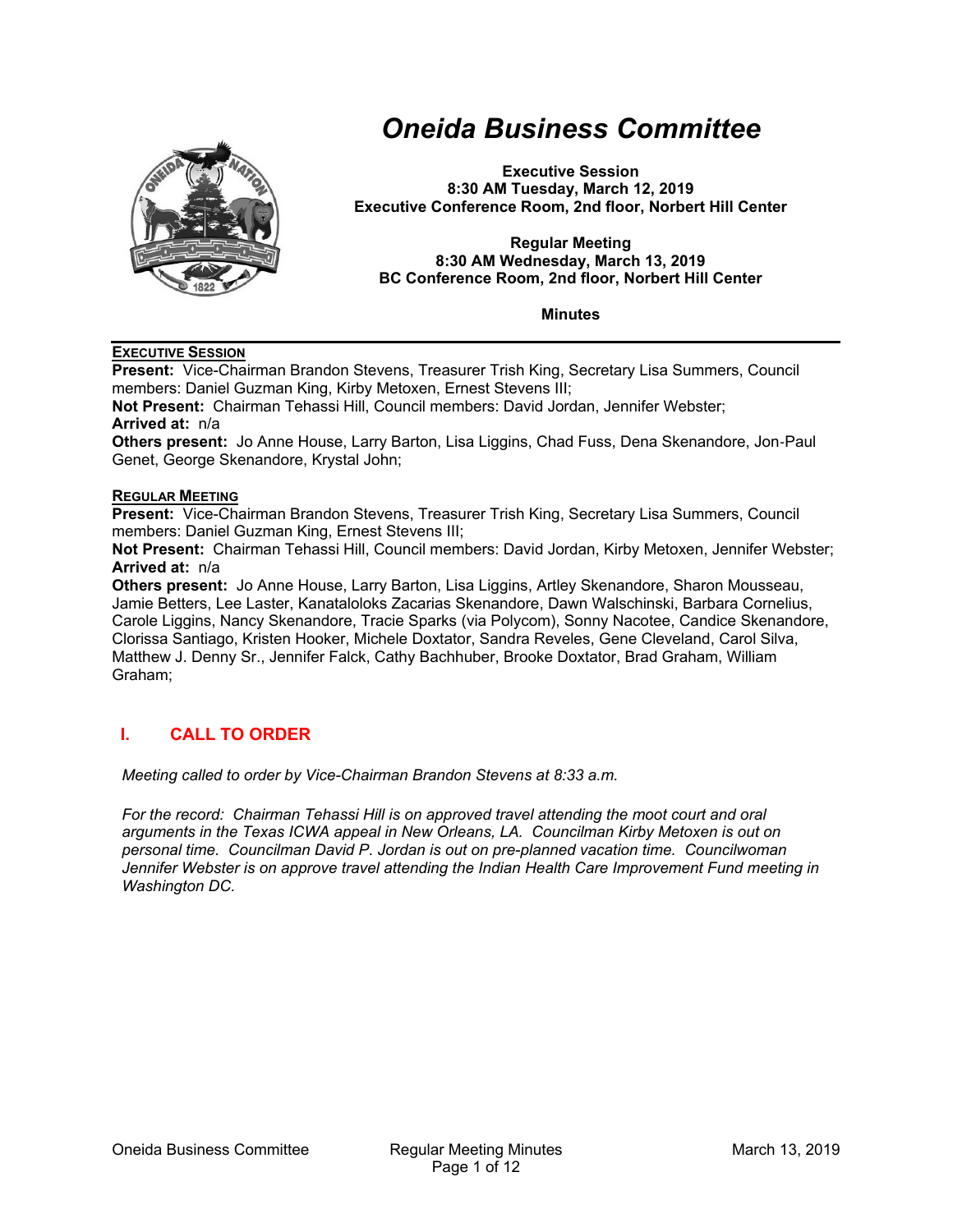

# *Oneida Business Committee*

**Executive Session 8:30 AM Tuesday, March 12, 2019 Executive Conference Room, 2nd floor, Norbert Hill Center** 

#### **Regular Meeting 8:30 AM Wednesday, March 13, 2019 BC Conference Room, 2nd floor, Norbert Hill Center**

**Minutes** 

#### **EXECUTIVE SESSION**

**Present:** Vice-Chairman Brandon Stevens, Treasurer Trish King, Secretary Lisa Summers, Council members: Daniel Guzman King, Kirby Metoxen, Ernest Stevens III;

**Not Present:** Chairman Tehassi Hill, Council members: David Jordan, Jennifer Webster; **Arrived at:** n/a

**Others present:** Jo Anne House, Larry Barton, Lisa Liggins, Chad Fuss, Dena Skenandore, Jon‐Paul Genet, George Skenandore, Krystal John;

#### **REGULAR MEETING**

**Present:** Vice-Chairman Brandon Stevens, Treasurer Trish King, Secretary Lisa Summers, Council members: Daniel Guzman King, Ernest Stevens III;

**Not Present:** Chairman Tehassi Hill, Council members: David Jordan, Kirby Metoxen, Jennifer Webster; **Arrived at:** n/a

**Others present:** Jo Anne House, Larry Barton, Lisa Liggins, Artley Skenandore, Sharon Mousseau, Jamie Betters, Lee Laster, Kanataloloks Zacarias Skenandore, Dawn Walschinski, Barbara Cornelius, Carole Liggins, Nancy Skenandore, Tracie Sparks (via Polycom), Sonny Nacotee, Candice Skenandore, Clorissa Santiago, Kristen Hooker, Michele Doxtator, Sandra Reveles, Gene Cleveland, Carol Silva, Matthew J. Denny Sr., Jennifer Falck, Cathy Bachhuber, Brooke Doxtator, Brad Graham, William Graham;

## **I. CALL TO ORDER**

*Meeting called to order by Vice-Chairman Brandon Stevens at 8:33 a.m.* 

*For the record: Chairman Tehassi Hill is on approved travel attending the moot court and oral arguments in the Texas ICWA appeal in New Orleans, LA. Councilman Kirby Metoxen is out on personal time. Councilman David P. Jordan is out on pre-planned vacation time. Councilwoman Jennifer Webster is on approve travel attending the Indian Health Care Improvement Fund meeting in Washington DC.*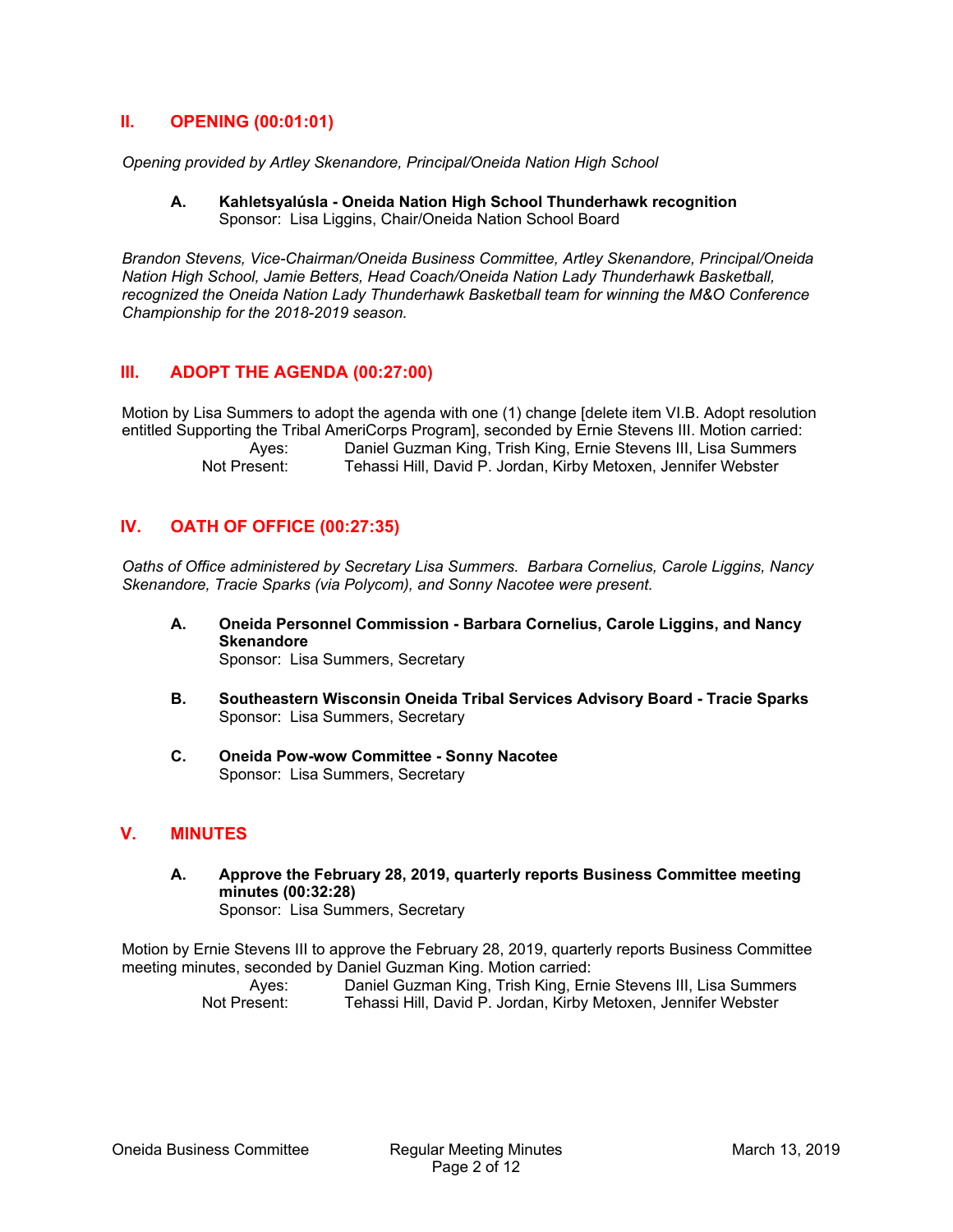## **II. OPENING (00:01:01)**

*Opening provided by Artley Skenandore, Principal/Oneida Nation High School*

**A. Kahletsyalúsla - Oneida Nation High School Thunderhawk recognition**  Sponsor: Lisa Liggins, Chair/Oneida Nation School Board

*Brandon Stevens, Vice-Chairman/Oneida Business Committee, Artley Skenandore, Principal/Oneida Nation High School, Jamie Betters, Head Coach/Oneida Nation Lady Thunderhawk Basketball, recognized the Oneida Nation Lady Thunderhawk Basketball team for winning the M&O Conference Championship for the 2018-2019 season.* 

## **III. ADOPT THE AGENDA (00:27:00)**

Motion by Lisa Summers to adopt the agenda with one (1) change [delete item VI.B. Adopt resolution entitled Supporting the Tribal AmeriCorps Program], seconded by Ernie Stevens III. Motion carried: Ayes: Daniel Guzman King, Trish King, Ernie Stevens III, Lisa Summers<br>Not Present: Tehassi Hill David P. Jordan Kirby Metoxen Jennifer Webster Tehassi Hill, David P. Jordan, Kirby Metoxen, Jennifer Webster

## **IV. OATH OF OFFICE (00:27:35)**

*Oaths of Office administered by Secretary Lisa Summers. Barbara Cornelius, Carole Liggins, Nancy Skenandore, Tracie Sparks (via Polycom), and Sonny Nacotee were present.* 

- **A. Oneida Personnel Commission Barbara Cornelius, Carole Liggins, and Nancy Skenandore**  Sponsor: Lisa Summers, Secretary
- **B. Southeastern Wisconsin Oneida Tribal Services Advisory Board Tracie Sparks**  Sponsor: Lisa Summers, Secretary
- **C. Oneida Pow-wow Committee Sonny Nacotee**  Sponsor: Lisa Summers, Secretary

## **V. MINUTES**

**A. Approve the February 28, 2019, quarterly reports Business Committee meeting minutes (00:32:28)**  Sponsor: Lisa Summers, Secretary

Motion by Ernie Stevens III to approve the February 28, 2019, quarterly reports Business Committee meeting minutes, seconded by Daniel Guzman King. Motion carried:

| Aves:        | Daniel Guzman King, Trish King, Ernie Stevens III, Lisa Summers |
|--------------|-----------------------------------------------------------------|
| Not Present: | Tehassi Hill, David P. Jordan, Kirby Metoxen, Jennifer Webster  |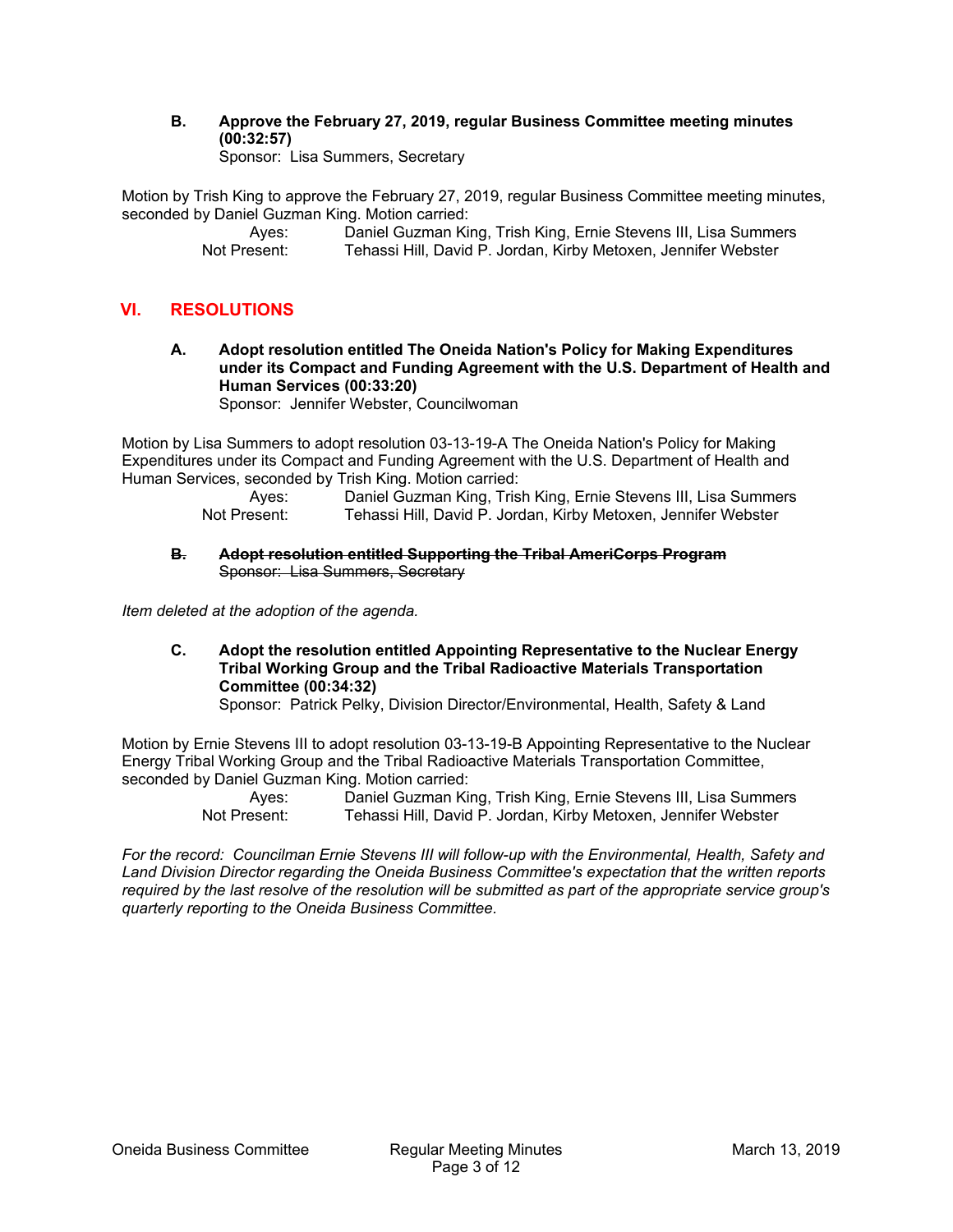**B. Approve the February 27, 2019, regular Business Committee meeting minutes (00:32:57)** 

Sponsor: Lisa Summers, Secretary

Motion by Trish King to approve the February 27, 2019, regular Business Committee meeting minutes, seconded by Daniel Guzman King. Motion carried:

> Ayes: Daniel Guzman King, Trish King, Ernie Stevens III, Lisa Summers Not Present: Tehassi Hill, David P. Jordan, Kirby Metoxen, Jennifer Webster

## **VI. RESOLUTIONS**

**A. Adopt resolution entitled The Oneida Nation's Policy for Making Expenditures under its Compact and Funding Agreement with the U.S. Department of Health and Human Services (00:33:20)** 

Sponsor: Jennifer Webster, Councilwoman

Motion by Lisa Summers to adopt resolution 03-13-19-A The Oneida Nation's Policy for Making Expenditures under its Compact and Funding Agreement with the U.S. Department of Health and Human Services, seconded by Trish King. Motion carried:

Ayes: Daniel Guzman King, Trish King, Ernie Stevens III, Lisa Summers<br>Not Present: Tehassi Hill. David P. Jordan. Kirby Metoxen. Jennifer Webster Tehassi Hill, David P. Jordan, Kirby Metoxen, Jennifer Webster

#### **B. Adopt resolution entitled Supporting the Tribal AmeriCorps Program**  Sponsor: Lisa Summers, Secretary

*Item deleted at the adoption of the agenda.* 

**C. Adopt the resolution entitled Appointing Representative to the Nuclear Energy Tribal Working Group and the Tribal Radioactive Materials Transportation Committee (00:34:32)** 

Sponsor: Patrick Pelky, Division Director/Environmental, Health, Safety & Land

Motion by Ernie Stevens III to adopt resolution 03-13-19-B Appointing Representative to the Nuclear Energy Tribal Working Group and the Tribal Radioactive Materials Transportation Committee, seconded by Daniel Guzman King. Motion carried:

 Ayes: Daniel Guzman King, Trish King, Ernie Stevens III, Lisa Summers Not Present: Tehassi Hill, David P. Jordan, Kirby Metoxen, Jennifer Webster

*For the record: Councilman Ernie Stevens III will follow-up with the Environmental, Health, Safety and Land Division Director regarding the Oneida Business Committee's expectation that the written reports required by the last resolve of the resolution will be submitted as part of the appropriate service group's quarterly reporting to the Oneida Business Committee.*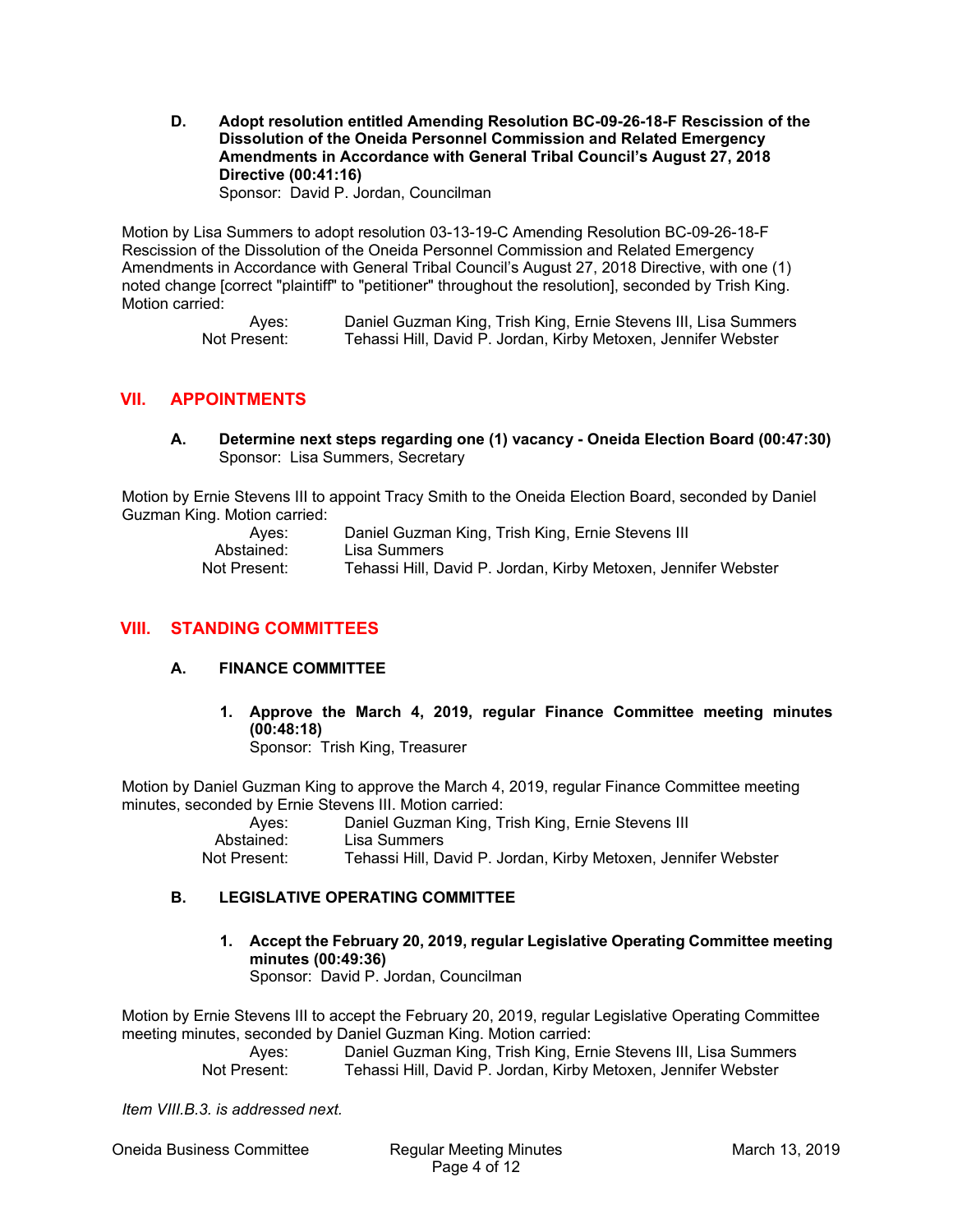**D. Adopt resolution entitled Amending Resolution BC-09-26-18-F Rescission of the Dissolution of the Oneida Personnel Commission and Related Emergency Amendments in Accordance with General Tribal Council's August 27, 2018 Directive (00:41:16)** 

Sponsor: David P. Jordan, Councilman

Motion by Lisa Summers to adopt resolution 03-13-19-C Amending Resolution BC-09-26-18-F Rescission of the Dissolution of the Oneida Personnel Commission and Related Emergency Amendments in Accordance with General Tribal Council's August 27, 2018 Directive, with one (1) noted change [correct "plaintiff" to "petitioner" throughout the resolution], seconded by Trish King. Motion carried:

> Ayes: Daniel Guzman King, Trish King, Ernie Stevens III, Lisa Summers Not Present: Tehassi Hill, David P. Jordan, Kirby Metoxen, Jennifer Webster

## **VII. APPOINTMENTS**

**A. Determine next steps regarding one (1) vacancy - Oneida Election Board (00:47:30)**  Sponsor: Lisa Summers, Secretary

Motion by Ernie Stevens III to appoint Tracy Smith to the Oneida Election Board, seconded by Daniel Guzman King. Motion carried:

| Aves:        | Daniel Guzman King, Trish King, Ernie Stevens III              |
|--------------|----------------------------------------------------------------|
| Abstained:   | Lisa Summers                                                   |
| Not Present: | Tehassi Hill, David P. Jordan, Kirby Metoxen, Jennifer Webster |

## **VIII. STANDING COMMITTEES**

### **A. FINANCE COMMITTEE**

**1. Approve the March 4, 2019, regular Finance Committee meeting minutes (00:48:18)**  Sponsor: Trish King, Treasurer

Motion by Daniel Guzman King to approve the March 4, 2019, regular Finance Committee meeting minutes, seconded by Ernie Stevens III. Motion carried:

| Aves:        | Daniel Guzman King, Trish King, Ernie Stevens III              |
|--------------|----------------------------------------------------------------|
| Abstained:   | Lisa Summers                                                   |
| Not Present: | Tehassi Hill, David P. Jordan, Kirby Metoxen, Jennifer Webster |

### **B. LEGISLATIVE OPERATING COMMITTEE**

**1. Accept the February 20, 2019, regular Legislative Operating Committee meeting minutes (00:49:36)** 

Sponsor: David P. Jordan, Councilman

Motion by Ernie Stevens III to accept the February 20, 2019, regular Legislative Operating Committee meeting minutes, seconded by Daniel Guzman King. Motion carried:

 Ayes: Daniel Guzman King, Trish King, Ernie Stevens III, Lisa Summers Not Present: Tehassi Hill, David P. Jordan, Kirby Metoxen, Jennifer Webster

*Item VIII.B.3. is addressed next.* 

Oneida Business Committee Regular Meeting Minutes March 13, 2019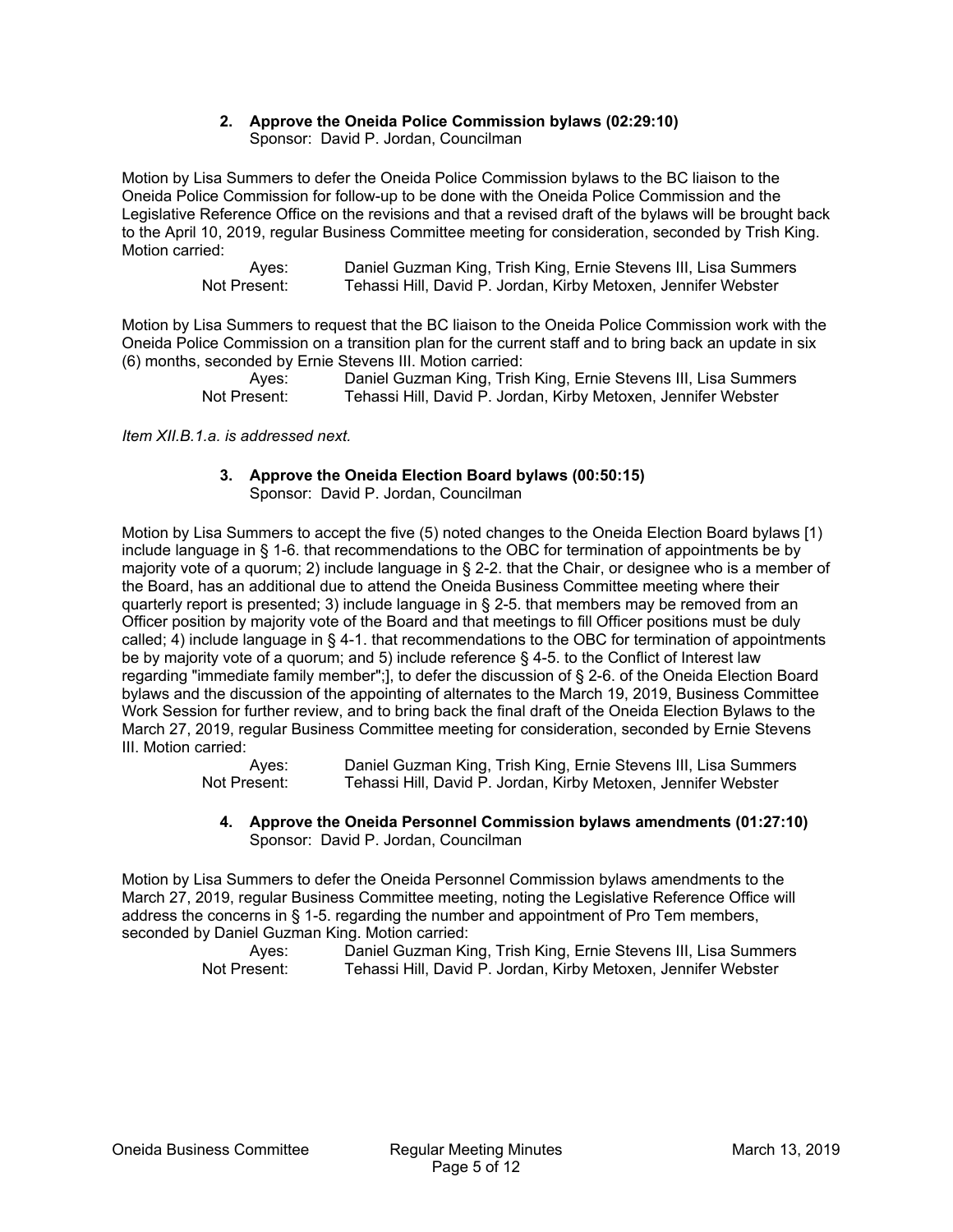#### **2. Approve the Oneida Police Commission bylaws (02:29:10)**  Sponsor: David P. Jordan, Councilman

Motion by Lisa Summers to defer the Oneida Police Commission bylaws to the BC liaison to the Oneida Police Commission for follow-up to be done with the Oneida Police Commission and the Legislative Reference Office on the revisions and that a revised draft of the bylaws will be brought back to the April 10, 2019, regular Business Committee meeting for consideration, seconded by Trish King. Motion carried:

> Ayes: Daniel Guzman King, Trish King, Ernie Stevens III, Lisa Summers<br>Not Present: Tehassi Hill, David P. Jordan, Kirby Metoxen, Jennifer Webster Tehassi Hill, David P. Jordan, Kirby Metoxen, Jennifer Webster

Motion by Lisa Summers to request that the BC liaison to the Oneida Police Commission work with the Oneida Police Commission on a transition plan for the current staff and to bring back an update in six (6) months, seconded by Ernie Stevens III. Motion carried:

 Ayes: Daniel Guzman King, Trish King, Ernie Stevens III, Lisa Summers Not Present: Tehassi Hill, David P. Jordan, Kirby Metoxen, Jennifer Webster

*Item XII.B.1.a. is addressed next.* 

#### **3. Approve the Oneida Election Board bylaws (00:50:15)**  Sponsor: David P. Jordan, Councilman

Motion by Lisa Summers to accept the five (5) noted changes to the Oneida Election Board bylaws [1) include language in § 1-6. that recommendations to the OBC for termination of appointments be by majority vote of a quorum; 2) include language in § 2-2. that the Chair, or designee who is a member of the Board, has an additional due to attend the Oneida Business Committee meeting where their quarterly report is presented; 3) include language in § 2-5. that members may be removed from an Officer position by majority vote of the Board and that meetings to fill Officer positions must be duly called; 4) include language in § 4-1. that recommendations to the OBC for termination of appointments be by majority vote of a quorum; and 5) include reference § 4-5. to the Conflict of Interest law regarding "immediate family member";], to defer the discussion of § 2-6. of the Oneida Election Board bylaws and the discussion of the appointing of alternates to the March 19, 2019, Business Committee Work Session for further review, and to bring back the final draft of the Oneida Election Bylaws to the March 27, 2019, regular Business Committee meeting for consideration, seconded by Ernie Stevens III. Motion carried:

 Ayes: Daniel Guzman King, Trish King, Ernie Stevens III, Lisa Summers Not Present: Tehassi Hill, David P. Jordan, Kirby Metoxen, Jennifer Webster

#### **4. Approve the Oneida Personnel Commission bylaws amendments (01:27:10)**  Sponsor: David P. Jordan, Councilman

Motion by Lisa Summers to defer the Oneida Personnel Commission bylaws amendments to the March 27, 2019, regular Business Committee meeting, noting the Legislative Reference Office will address the concerns in § 1-5. regarding the number and appointment of Pro Tem members, seconded by Daniel Guzman King. Motion carried: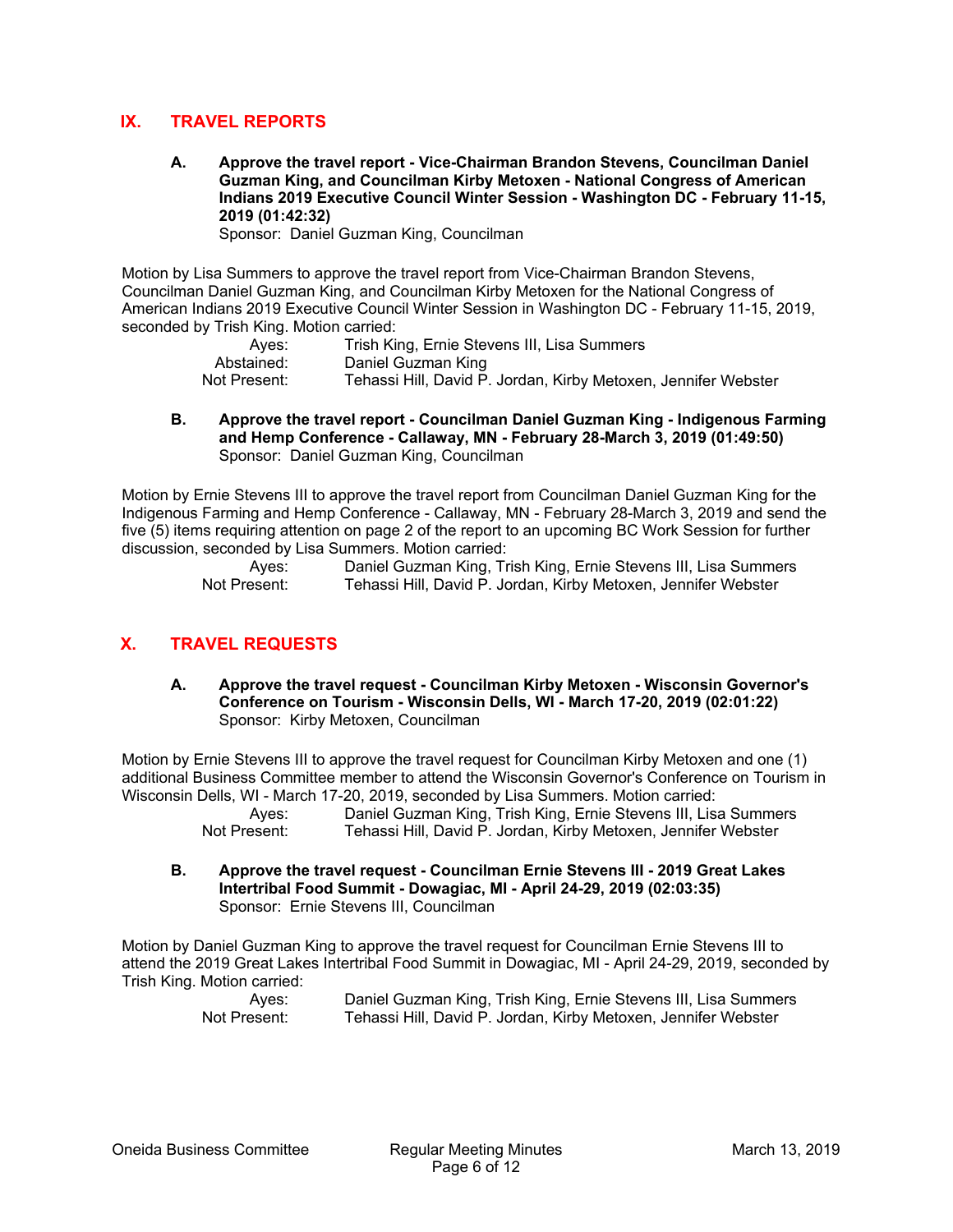## **IX. TRAVEL REPORTS**

**A. Approve the travel report - Vice-Chairman Brandon Stevens, Councilman Daniel Guzman King, and Councilman Kirby Metoxen - National Congress of American Indians 2019 Executive Council Winter Session - Washington DC - February 11-15, 2019 (01:42:32)** 

Sponsor: Daniel Guzman King, Councilman

Motion by Lisa Summers to approve the travel report from Vice-Chairman Brandon Stevens, Councilman Daniel Guzman King, and Councilman Kirby Metoxen for the National Congress of American Indians 2019 Executive Council Winter Session in Washington DC - February 11-15, 2019, seconded by Trish King. Motion carried:

| Aves:        | Trish King, Ernie Stevens III, Lisa Summers                    |
|--------------|----------------------------------------------------------------|
| Abstained:   | Daniel Guzman King                                             |
| Not Present: | Tehassi Hill, David P. Jordan, Kirby Metoxen, Jennifer Webster |

**B. Approve the travel report - Councilman Daniel Guzman King - Indigenous Farming and Hemp Conference - Callaway, MN - February 28-March 3, 2019 (01:49:50)**  Sponsor: Daniel Guzman King, Councilman

Motion by Ernie Stevens III to approve the travel report from Councilman Daniel Guzman King for the Indigenous Farming and Hemp Conference - Callaway, MN - February 28-March 3, 2019 and send the five (5) items requiring attention on page 2 of the report to an upcoming BC Work Session for further discussion, seconded by Lisa Summers. Motion carried:

> Ayes: Daniel Guzman King, Trish King, Ernie Stevens III, Lisa Summers Not Present: Tehassi Hill, David P. Jordan, Kirby Metoxen, Jennifer Webster

## **X. TRAVEL REQUESTS**

**A. Approve the travel request - Councilman Kirby Metoxen - Wisconsin Governor's Conference on Tourism - Wisconsin Dells, WI - March 17-20, 2019 (02:01:22)**  Sponsor: Kirby Metoxen, Councilman

Motion by Ernie Stevens III to approve the travel request for Councilman Kirby Metoxen and one (1) additional Business Committee member to attend the Wisconsin Governor's Conference on Tourism in Wisconsin Dells, WI - March 17-20, 2019, seconded by Lisa Summers. Motion carried:

 Ayes: Daniel Guzman King, Trish King, Ernie Stevens III, Lisa Summers Not Present: Tehassi Hill, David P. Jordan, Kirby Metoxen, Jennifer Webster

**B. Approve the travel request - Councilman Ernie Stevens III - 2019 Great Lakes Intertribal Food Summit - Dowagiac, MI - April 24-29, 2019 (02:03:35)**  Sponsor: Ernie Stevens III, Councilman

Motion by Daniel Guzman King to approve the travel request for Councilman Ernie Stevens III to attend the 2019 Great Lakes Intertribal Food Summit in Dowagiac, MI - April 24-29, 2019, seconded by Trish King. Motion carried: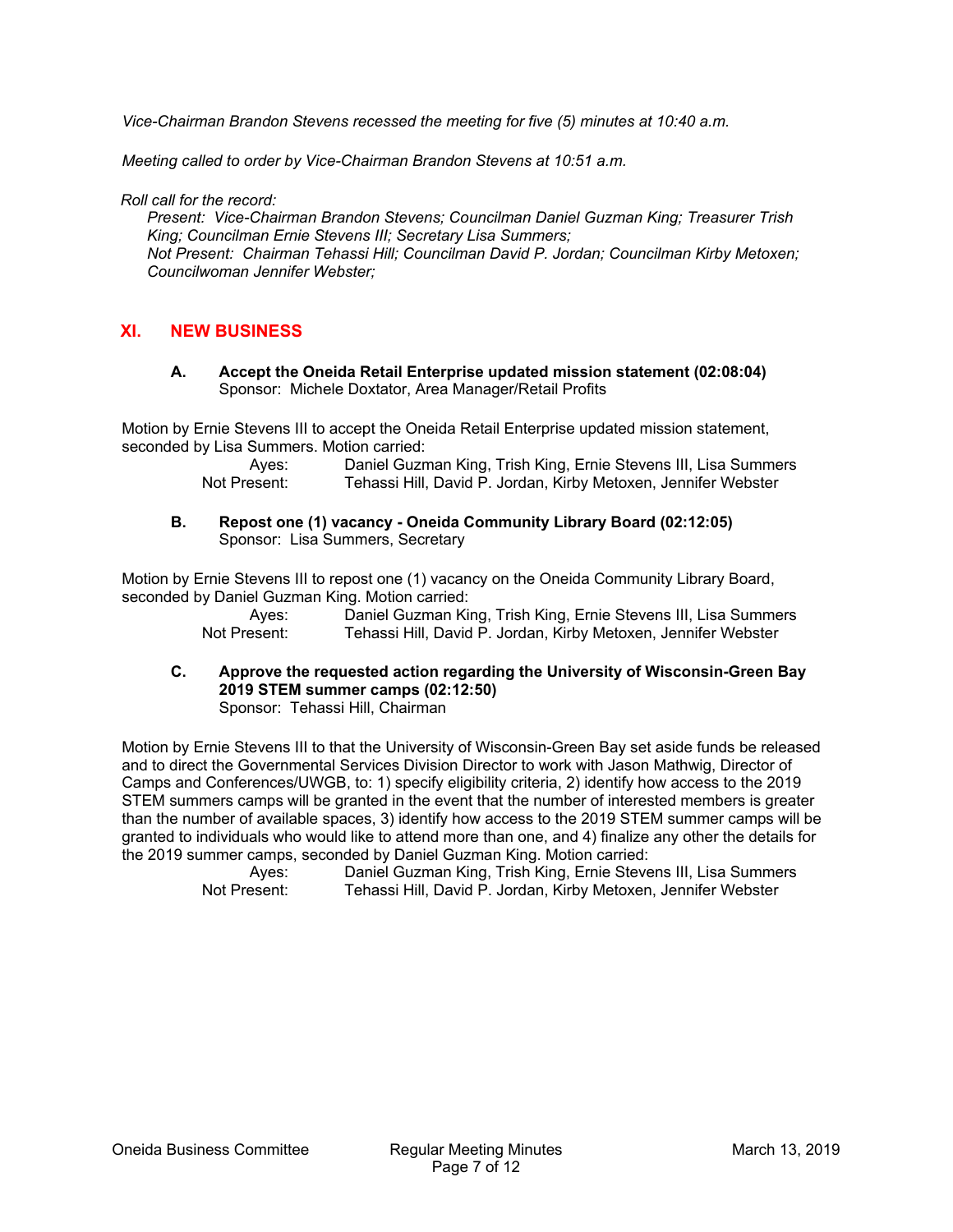*Vice-Chairman Brandon Stevens recessed the meeting for five (5) minutes at 10:40 a.m.* 

*Meeting called to order by Vice-Chairman Brandon Stevens at 10:51 a.m.* 

*Roll call for the record:* 

*Present: Vice-Chairman Brandon Stevens; Councilman Daniel Guzman King; Treasurer Trish King; Councilman Ernie Stevens III; Secretary Lisa Summers; Not Present: Chairman Tehassi Hill; Councilman David P. Jordan; Councilman Kirby Metoxen; Councilwoman Jennifer Webster;* 

## **XI. NEW BUSINESS**

**A. Accept the Oneida Retail Enterprise updated mission statement (02:08:04)**  Sponsor: Michele Doxtator, Area Manager/Retail Profits

Motion by Ernie Stevens III to accept the Oneida Retail Enterprise updated mission statement, seconded by Lisa Summers. Motion carried:

> Ayes: Daniel Guzman King, Trish King, Ernie Stevens III, Lisa Summers Not Present: Tehassi Hill, David P. Jordan, Kirby Metoxen, Jennifer Webster

**B. Repost one (1) vacancy - Oneida Community Library Board (02:12:05)**  Sponsor: Lisa Summers, Secretary

Motion by Ernie Stevens III to repost one (1) vacancy on the Oneida Community Library Board, seconded by Daniel Guzman King. Motion carried:

> Ayes: Daniel Guzman King, Trish King, Ernie Stevens III, Lisa Summers Not Present: Tehassi Hill, David P. Jordan, Kirby Metoxen, Jennifer Webster

**C. Approve the requested action regarding the University of Wisconsin-Green Bay 2019 STEM summer camps (02:12:50)**  Sponsor: Tehassi Hill, Chairman

Motion by Ernie Stevens III to that the University of Wisconsin-Green Bay set aside funds be released and to direct the Governmental Services Division Director to work with Jason Mathwig, Director of Camps and Conferences/UWGB, to: 1) specify eligibility criteria, 2) identify how access to the 2019 STEM summers camps will be granted in the event that the number of interested members is greater than the number of available spaces, 3) identify how access to the 2019 STEM summer camps will be granted to individuals who would like to attend more than one, and 4) finalize any other the details for the 2019 summer camps, seconded by Daniel Guzman King. Motion carried:

Ayes: Daniel Guzman King, Trish King, Ernie Stevens III, Lisa Summers<br>Not Present: Tehassi Hill. David P. Jordan. Kirby Metoxen. Jennifer Webster Tehassi Hill, David P. Jordan, Kirby Metoxen, Jennifer Webster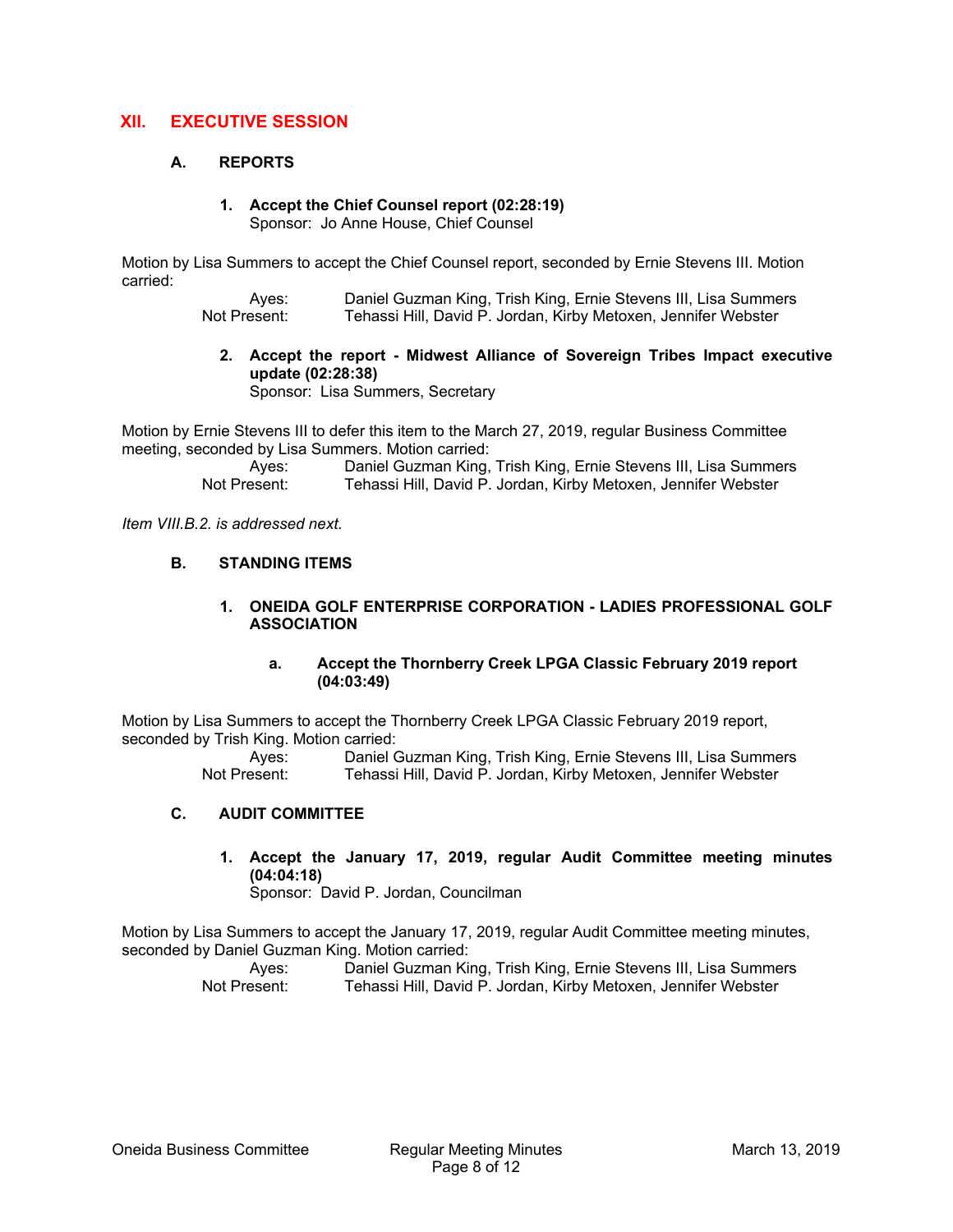## **XII. EXECUTIVE SESSION**

#### **A. REPORTS**

## **1. Accept the Chief Counsel report (02:28:19)**

Sponsor: Jo Anne House, Chief Counsel

Motion by Lisa Summers to accept the Chief Counsel report, seconded by Ernie Stevens III. Motion carried:

> Ayes: Daniel Guzman King, Trish King, Ernie Stevens III, Lisa Summers Not Present: Tehassi Hill, David P. Jordan, Kirby Metoxen, Jennifer Webster

**2. Accept the report - Midwest Alliance of Sovereign Tribes Impact executive update (02:28:38)** 

Sponsor: Lisa Summers, Secretary

Motion by Ernie Stevens III to defer this item to the March 27, 2019, regular Business Committee meeting, seconded by Lisa Summers. Motion carried:

> Ayes: Daniel Guzman King, Trish King, Ernie Stevens III, Lisa Summers<br>Not Present: Tehassi Hill, David P. Jordan, Kirby Metoxen, Jennifer Webster Tehassi Hill, David P. Jordan, Kirby Metoxen, Jennifer Webster

*Item VIII.B.2. is addressed next.* 

#### **B. STANDING ITEMS**

#### **1. ONEIDA GOLF ENTERPRISE CORPORATION - LADIES PROFESSIONAL GOLF ASSOCIATION**

#### **a. Accept the Thornberry Creek LPGA Classic February 2019 report (04:03:49)**

Motion by Lisa Summers to accept the Thornberry Creek LPGA Classic February 2019 report, seconded by Trish King. Motion carried:

Daniel Guzman King, Trish King, Ernie Stevens III, Lisa Summers Not Present: Tehassi Hill, David P. Jordan, Kirby Metoxen, Jennifer Webster

#### **C. AUDIT COMMITTEE**

## **1. Accept the January 17, 2019, regular Audit Committee meeting minutes (04:04:18)**

Sponsor: David P. Jordan, Councilman

Motion by Lisa Summers to accept the January 17, 2019, regular Audit Committee meeting minutes, seconded by Daniel Guzman King. Motion carried: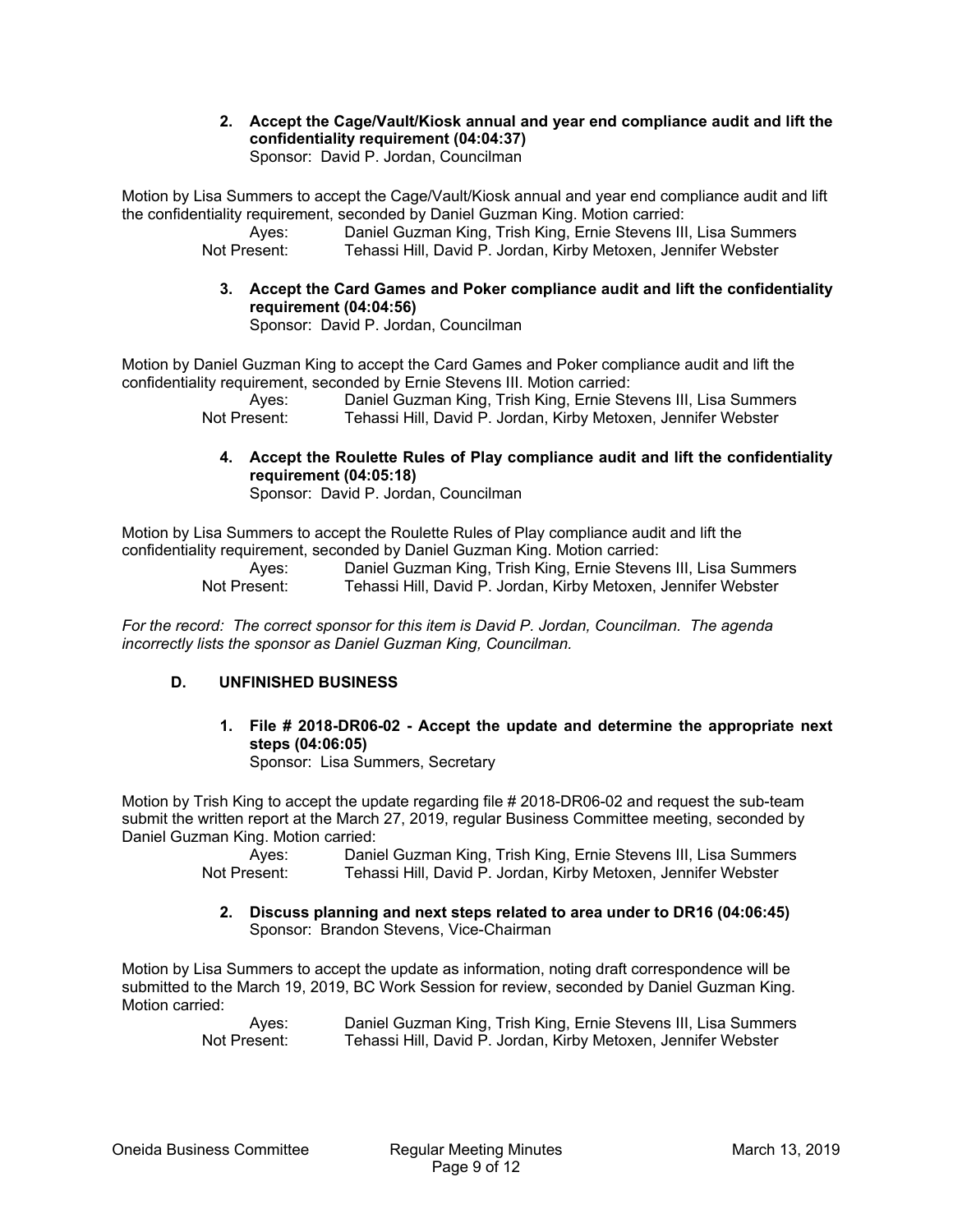**2. Accept the Cage/Vault/Kiosk annual and year end compliance audit and lift the confidentiality requirement (04:04:37)**  Sponsor: David P. Jordan, Councilman

Motion by Lisa Summers to accept the Cage/Vault/Kiosk annual and year end compliance audit and lift the confidentiality requirement, seconded by Daniel Guzman King. Motion carried:

 Ayes: Daniel Guzman King, Trish King, Ernie Stevens III, Lisa Summers Not Present: Tehassi Hill, David P. Jordan, Kirby Metoxen, Jennifer Webster

**3. Accept the Card Games and Poker compliance audit and lift the confidentiality requirement (04:04:56)** 

Sponsor: David P. Jordan, Councilman

Motion by Daniel Guzman King to accept the Card Games and Poker compliance audit and lift the confidentiality requirement, seconded by Ernie Stevens III. Motion carried:

> Ayes: Daniel Guzman King, Trish King, Ernie Stevens III, Lisa Summers Not Present: Tehassi Hill, David P. Jordan, Kirby Metoxen, Jennifer Webster

**4. Accept the Roulette Rules of Play compliance audit and lift the confidentiality requirement (04:05:18)** 

Sponsor: David P. Jordan, Councilman

Motion by Lisa Summers to accept the Roulette Rules of Play compliance audit and lift the confidentiality requirement, seconded by Daniel Guzman King. Motion carried:

> Ayes: Daniel Guzman King, Trish King, Ernie Stevens III, Lisa Summers Not Present: Tehassi Hill, David P. Jordan, Kirby Metoxen, Jennifer Webster

*For the record: The correct sponsor for this item is David P. Jordan, Councilman. The agenda incorrectly lists the sponsor as Daniel Guzman King, Councilman.* 

### **D. UNFINISHED BUSINESS**

**1. File # 2018-DR06-02 - Accept the update and determine the appropriate next steps (04:06:05)** 

Sponsor: Lisa Summers, Secretary

Motion by Trish King to accept the update regarding file # 2018-DR06-02 and request the sub-team submit the written report at the March 27, 2019, regular Business Committee meeting, seconded by Daniel Guzman King. Motion carried:

> Ayes: Daniel Guzman King, Trish King, Ernie Stevens III, Lisa Summers Not Present: Tehassi Hill, David P. Jordan, Kirby Metoxen, Jennifer Webster

**2. Discuss planning and next steps related to area under to DR16 (04:06:45)**  Sponsor: Brandon Stevens, Vice-Chairman

Motion by Lisa Summers to accept the update as information, noting draft correspondence will be submitted to the March 19, 2019, BC Work Session for review, seconded by Daniel Guzman King. Motion carried: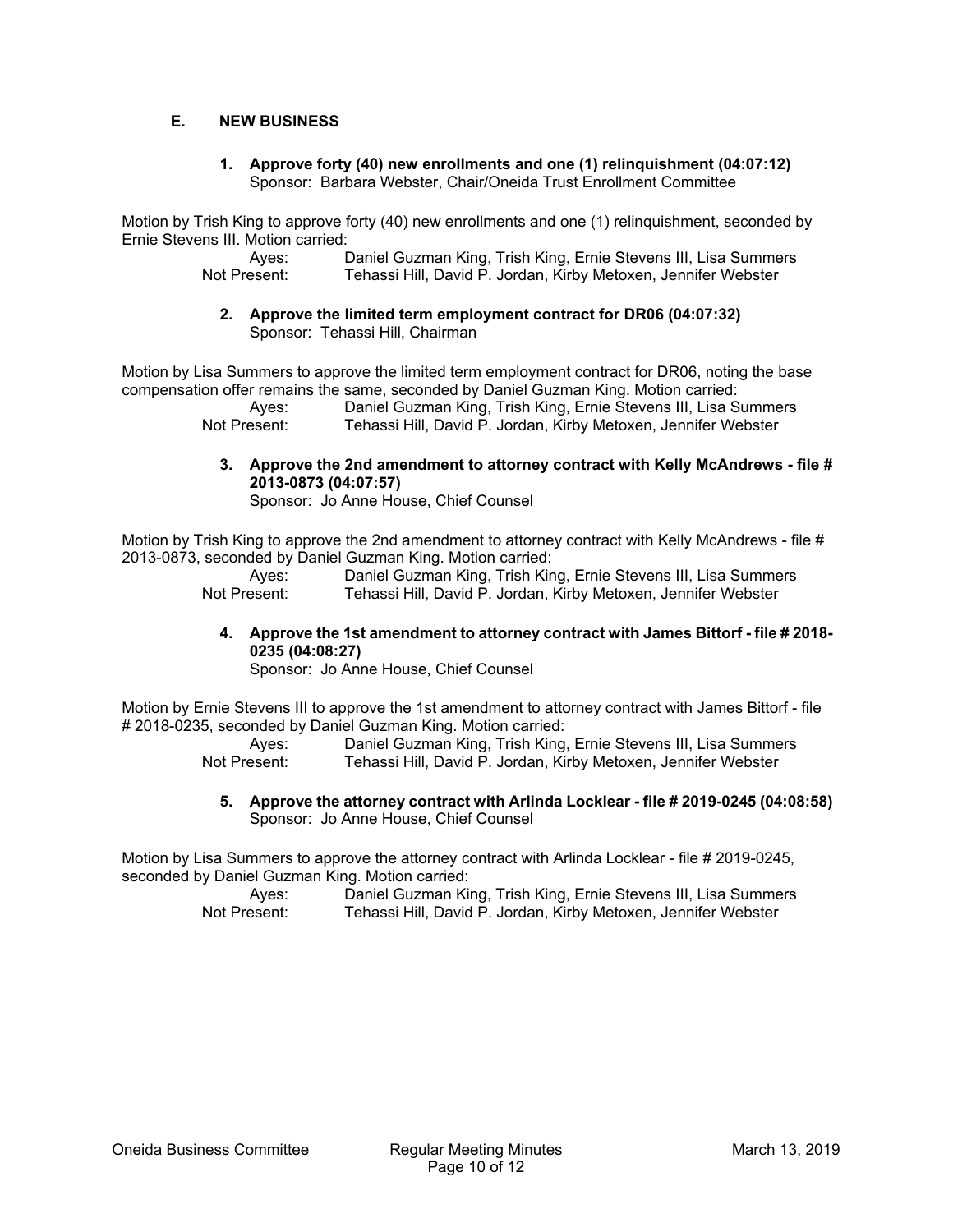### **E. NEW BUSINESS**

#### **1. Approve forty (40) new enrollments and one (1) relinquishment (04:07:12)**  Sponsor: Barbara Webster, Chair/Oneida Trust Enrollment Committee

Motion by Trish King to approve forty (40) new enrollments and one (1) relinquishment, seconded by Ernie Stevens III. Motion carried:

 Ayes: Daniel Guzman King, Trish King, Ernie Stevens III, Lisa Summers Not Present: Tehassi Hill, David P. Jordan, Kirby Metoxen, Jennifer Webster

**2. Approve the limited term employment contract for DR06 (04:07:32)**  Sponsor: Tehassi Hill, Chairman

Motion by Lisa Summers to approve the limited term employment contract for DR06, noting the base compensation offer remains the same, seconded by Daniel Guzman King. Motion carried:

 Ayes: Daniel Guzman King, Trish King, Ernie Stevens III, Lisa Summers Not Present: Tehassi Hill, David P. Jordan, Kirby Metoxen, Jennifer Webster

**3. Approve the 2nd amendment to attorney contract with Kelly McAndrews - file # 2013-0873 (04:07:57)** 

Sponsor: Jo Anne House, Chief Counsel

Motion by Trish King to approve the 2nd amendment to attorney contract with Kelly McAndrews - file # 2013-0873, seconded by Daniel Guzman King. Motion carried:

> Ayes: Daniel Guzman King, Trish King, Ernie Stevens III, Lisa Summers Not Present: Tehassi Hill, David P. Jordan, Kirby Metoxen, Jennifer Webster

### **4. Approve the 1st amendment to attorney contract with James Bittorf - file # 2018- 0235 (04:08:27)**

Sponsor: Jo Anne House, Chief Counsel

Motion by Ernie Stevens III to approve the 1st amendment to attorney contract with James Bittorf - file # 2018-0235, seconded by Daniel Guzman King. Motion carried:

> Ayes: Daniel Guzman King, Trish King, Ernie Stevens III, Lisa Summers Not Present: Tehassi Hill, David P. Jordan, Kirby Metoxen, Jennifer Webster

**5. Approve the attorney contract with Arlinda Locklear - file # 2019-0245 (04:08:58)**  Sponsor: Jo Anne House, Chief Counsel

Motion by Lisa Summers to approve the attorney contract with Arlinda Locklear - file # 2019-0245, seconded by Daniel Guzman King. Motion carried: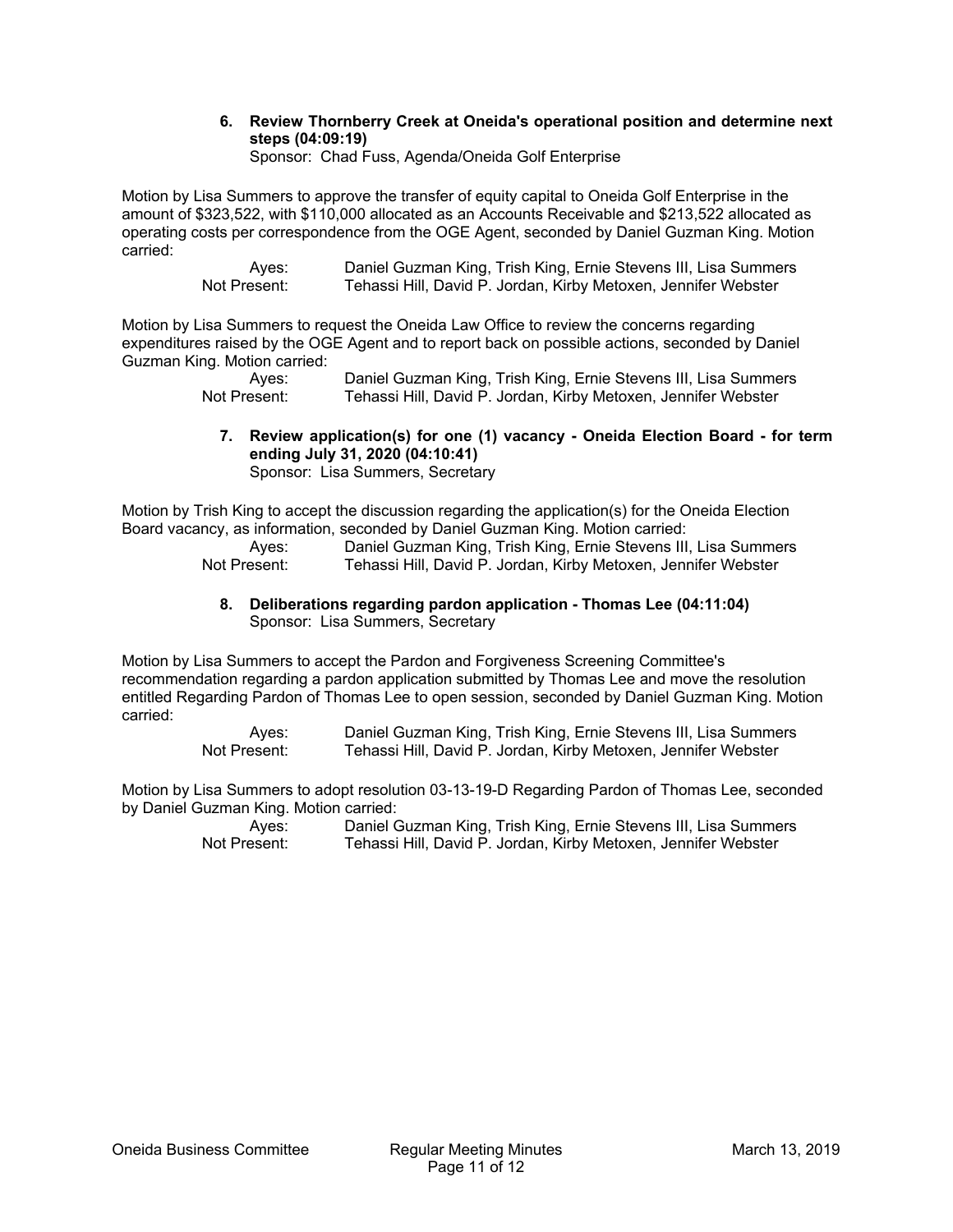#### **6. Review Thornberry Creek at Oneida's operational position and determine next steps (04:09:19)**

Sponsor: Chad Fuss, Agenda/Oneida Golf Enterprise

Motion by Lisa Summers to approve the transfer of equity capital to Oneida Golf Enterprise in the amount of \$323,522, with \$110,000 allocated as an Accounts Receivable and \$213,522 allocated as operating costs per correspondence from the OGE Agent, seconded by Daniel Guzman King. Motion carried:

Ayes: Daniel Guzman King, Trish King, Ernie Stevens III, Lisa Summers<br>Not Present: Tehassi Hill, David P. Jordan, Kirby Metoxen, Jennifer Webster Tehassi Hill, David P. Jordan, Kirby Metoxen, Jennifer Webster

Motion by Lisa Summers to request the Oneida Law Office to review the concerns regarding expenditures raised by the OGE Agent and to report back on possible actions, seconded by Daniel Guzman King. Motion carried:

 Ayes: Daniel Guzman King, Trish King, Ernie Stevens III, Lisa Summers Not Present: Tehassi Hill, David P. Jordan, Kirby Metoxen, Jennifer Webster

**7. Review application(s) for one (1) vacancy - Oneida Election Board - for term ending July 31, 2020 (04:10:41)**  Sponsor: Lisa Summers, Secretary

Motion by Trish King to accept the discussion regarding the application(s) for the Oneida Election Board vacancy, as information, seconded by Daniel Guzman King. Motion carried:

 Ayes: Daniel Guzman King, Trish King, Ernie Stevens III, Lisa Summers Not Present: Tehassi Hill, David P. Jordan, Kirby Metoxen, Jennifer Webster

#### **8. Deliberations regarding pardon application - Thomas Lee (04:11:04)**  Sponsor: Lisa Summers, Secretary

Motion by Lisa Summers to accept the Pardon and Forgiveness Screening Committee's recommendation regarding a pardon application submitted by Thomas Lee and move the resolution entitled Regarding Pardon of Thomas Lee to open session, seconded by Daniel Guzman King. Motion carried:

> Ayes: Daniel Guzman King, Trish King, Ernie Stevens III, Lisa Summers Not Present: Tehassi Hill, David P. Jordan, Kirby Metoxen, Jennifer Webster

Motion by Lisa Summers to adopt resolution 03-13-19-D Regarding Pardon of Thomas Lee, seconded by Daniel Guzman King. Motion carried: